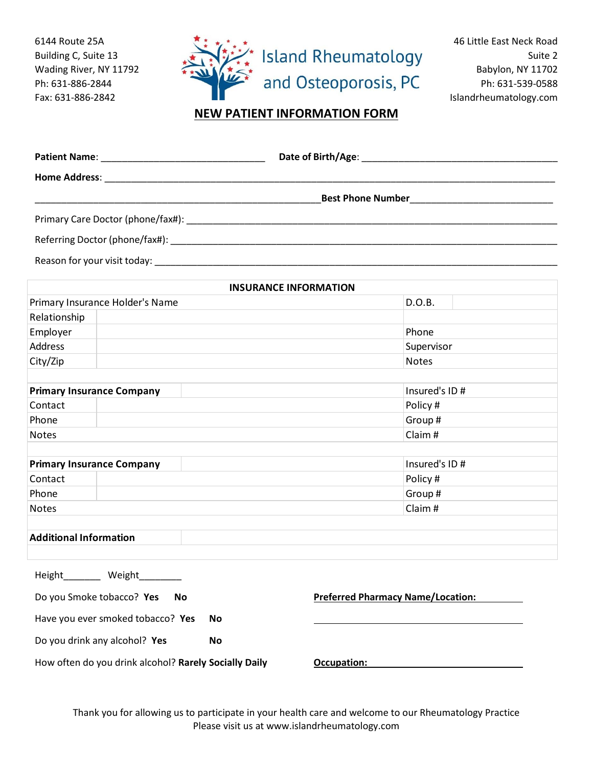6144 Route 25A Building C, Suite 13 Wading River, NY 11792 Ph: 631-886-2844 Fax: 631-886-2842



46 Little East Neck Road Suite 2 Babylon, NY 11702 Ph: 631-539-0588 Islandrheumatology.com

## **NEW PATIENT INFORMATION FORM**

|                               |                                   |           |                                                                                                                                                                                                                                |                  | <b>Best Phone Number Example 2014</b> |
|-------------------------------|-----------------------------------|-----------|--------------------------------------------------------------------------------------------------------------------------------------------------------------------------------------------------------------------------------|------------------|---------------------------------------|
|                               |                                   |           |                                                                                                                                                                                                                                |                  |                                       |
|                               |                                   |           | Referring Doctor (phone/fax#): Note and the set of the set of the set of the set of the set of the set of the set of the set of the set of the set of the set of the set of the set of the set of the set of the set of the se |                  |                                       |
|                               |                                   |           | Reason for your visit today: Notice of the state of the state of the state of the state of the state of the state of the state of the state of the state of the state of the state of the state of the state of the state of t |                  |                                       |
|                               |                                   |           | <b>INSURANCE INFORMATION</b>                                                                                                                                                                                                   |                  |                                       |
|                               | Primary Insurance Holder's Name   |           |                                                                                                                                                                                                                                | D.O.B.           |                                       |
| Relationship                  |                                   |           |                                                                                                                                                                                                                                |                  |                                       |
| Employer                      |                                   |           |                                                                                                                                                                                                                                | Phone            |                                       |
| <b>Address</b>                |                                   |           |                                                                                                                                                                                                                                | Supervisor       |                                       |
| City/Zip                      |                                   |           |                                                                                                                                                                                                                                | <b>Notes</b>     |                                       |
|                               |                                   |           |                                                                                                                                                                                                                                |                  |                                       |
|                               | <b>Primary Insurance Company</b>  |           |                                                                                                                                                                                                                                | Insured's ID#    |                                       |
| Contact                       |                                   |           |                                                                                                                                                                                                                                | Policy #         |                                       |
| Phone                         |                                   |           |                                                                                                                                                                                                                                | Group#<br>Claim# |                                       |
| <b>Notes</b>                  |                                   |           |                                                                                                                                                                                                                                |                  |                                       |
|                               | <b>Primary Insurance Company</b>  |           |                                                                                                                                                                                                                                | Insured's ID#    |                                       |
| Contact                       |                                   |           |                                                                                                                                                                                                                                | Policy #         |                                       |
| Phone                         |                                   |           |                                                                                                                                                                                                                                | Group#           |                                       |
| <b>Notes</b>                  |                                   |           |                                                                                                                                                                                                                                | Claim#           |                                       |
| <b>Additional Information</b> |                                   |           |                                                                                                                                                                                                                                |                  |                                       |
|                               |                                   |           |                                                                                                                                                                                                                                |                  |                                       |
| Height_________ Weight_       |                                   |           |                                                                                                                                                                                                                                |                  |                                       |
|                               | Do you Smoke tobacco? Yes         | No        | <b>Preferred Pharmacy Name/Location:</b>                                                                                                                                                                                       |                  |                                       |
|                               | Have you ever smoked tobacco? Yes | No        |                                                                                                                                                                                                                                |                  |                                       |
|                               | Do you drink any alcohol? Yes     | <b>No</b> |                                                                                                                                                                                                                                |                  |                                       |

How often do you drink alcohol? **Rarely Socially Daily**

**Occupation:**

Thank you for allowing us to participate in your health care and welcome to our Rheumatology Practice Please visit us at www.islandrheumatology.com